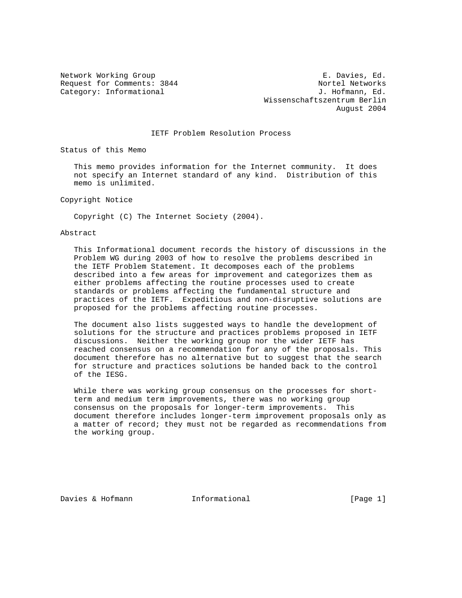Network Working Group **E. Davies, Ed.** Request for Comments: 3844 Nortel Networks Category: Informational  $J.$  Hofmann, Ed. Wissenschaftszentrum Berlin August 2004

# IETF Problem Resolution Process

Status of this Memo

 This memo provides information for the Internet community. It does not specify an Internet standard of any kind. Distribution of this memo is unlimited.

Copyright Notice

Copyright (C) The Internet Society (2004).

### Abstract

 This Informational document records the history of discussions in the Problem WG during 2003 of how to resolve the problems described in the IETF Problem Statement. It decomposes each of the problems described into a few areas for improvement and categorizes them as either problems affecting the routine processes used to create standards or problems affecting the fundamental structure and practices of the IETF. Expeditious and non-disruptive solutions are proposed for the problems affecting routine processes.

 The document also lists suggested ways to handle the development of solutions for the structure and practices problems proposed in IETF discussions. Neither the working group nor the wider IETF has reached consensus on a recommendation for any of the proposals. This document therefore has no alternative but to suggest that the search for structure and practices solutions be handed back to the control of the IESG.

 While there was working group consensus on the processes for short term and medium term improvements, there was no working group consensus on the proposals for longer-term improvements. This document therefore includes longer-term improvement proposals only as a matter of record; they must not be regarded as recommendations from the working group.

Davies & Hofmann 1nformational [Page 1]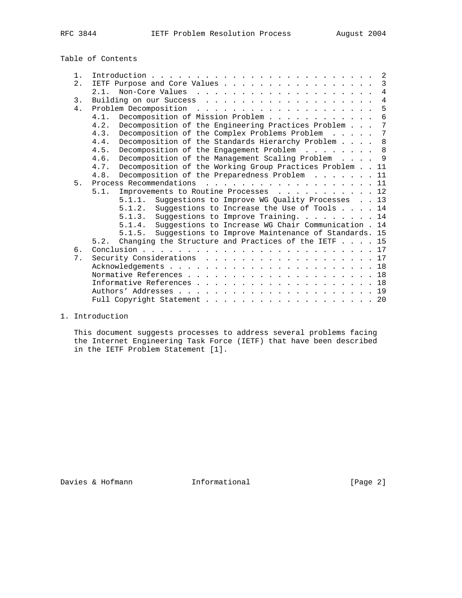Table of Contents

| 1. |                                                                          |
|----|--------------------------------------------------------------------------|
| 2. | $\overline{3}$<br>IETF Purpose and Core Values                           |
|    | $\overline{4}$<br>2.1.                                                   |
| 3. | $\overline{4}$                                                           |
| 4. | 5                                                                        |
|    | Decomposition of Mission Problem<br>6<br>4.1.                            |
|    | Decomposition of the Engineering Practices Problem<br>7<br>4.2.          |
|    | $7\phantom{.0}$<br>Decomposition of the Complex Problems Problem<br>4.3. |
|    | 8<br>Decomposition of the Standards Hierarchy Problem<br>4.4.            |
|    | Decomposition of the Engagement Problem 8<br>4.5.                        |
|    | - 9<br>Decomposition of the Management Scaling Problem<br>4.6.           |
|    | Decomposition of the Working Group Practices Problem 11<br>4.7.          |
|    | Decomposition of the Preparedness Problem 11<br>4.8.                     |
| 5. | Process Recommendations 11                                               |
|    | Improvements to Routine Processes 12<br>5.1.                             |
|    | Suggestions to Improve WG Quality Processes 13<br>5.1.1.                 |
|    | Suggestions to Increase the Use of Tools $\ldots$ . 14<br>5.1.2.         |
|    | Suggestions to Improve Training. 14<br>5.1.3.                            |
|    | Suggestions to Increase WG Chair Communication . 14<br>5.1.4.            |
|    | Suggestions to Improve Maintenance of Standards. 15<br>5.1.5.            |
|    | 5.2. Changing the Structure and Practices of the IETF 15                 |
| 6. |                                                                          |
| 7. | Security Considerations 17                                               |
|    |                                                                          |
|    |                                                                          |
|    |                                                                          |
|    |                                                                          |
|    | Full Copyright Statement 20                                              |

1. Introduction

 This document suggests processes to address several problems facing the Internet Engineering Task Force (IETF) that have been described in the IETF Problem Statement [1].

Davies & Hofmann 1nformational [Page 2]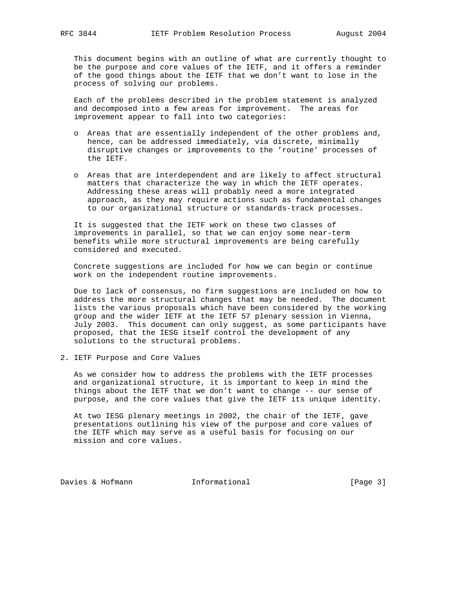This document begins with an outline of what are currently thought to be the purpose and core values of the IETF, and it offers a reminder of the good things about the IETF that we don't want to lose in the process of solving our problems.

 Each of the problems described in the problem statement is analyzed and decomposed into a few areas for improvement. The areas for improvement appear to fall into two categories:

- o Areas that are essentially independent of the other problems and, hence, can be addressed immediately, via discrete, minimally disruptive changes or improvements to the 'routine' processes of the IETF.
- o Areas that are interdependent and are likely to affect structural matters that characterize the way in which the IETF operates. Addressing these areas will probably need a more integrated approach, as they may require actions such as fundamental changes to our organizational structure or standards-track processes.

 It is suggested that the IETF work on these two classes of improvements in parallel, so that we can enjoy some near-term benefits while more structural improvements are being carefully considered and executed.

 Concrete suggestions are included for how we can begin or continue work on the independent routine improvements.

 Due to lack of consensus, no firm suggestions are included on how to address the more structural changes that may be needed. The document lists the various proposals which have been considered by the working group and the wider IETF at the IETF 57 plenary session in Vienna, July 2003. This document can only suggest, as some participants have proposed, that the IESG itself control the development of any solutions to the structural problems.

2. IETF Purpose and Core Values

 As we consider how to address the problems with the IETF processes and organizational structure, it is important to keep in mind the things about the IETF that we don't want to change -- our sense of purpose, and the core values that give the IETF its unique identity.

 At two IESG plenary meetings in 2002, the chair of the IETF, gave presentations outlining his view of the purpose and core values of the IETF which may serve as a useful basis for focusing on our mission and core values.

Davies & Hofmann 1nformational [Page 3]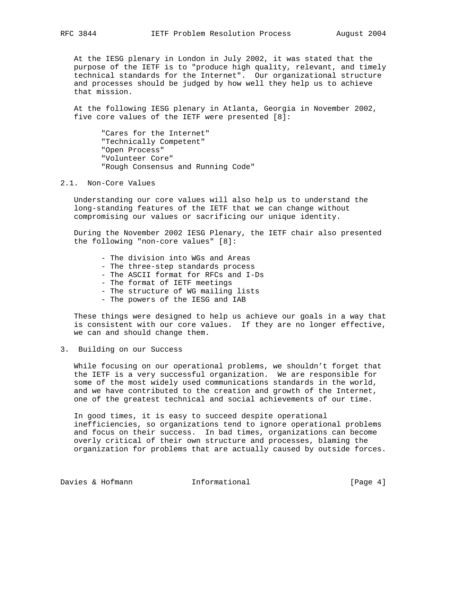At the IESG plenary in London in July 2002, it was stated that the purpose of the IETF is to "produce high quality, relevant, and timely technical standards for the Internet". Our organizational structure and processes should be judged by how well they help us to achieve that mission.

 At the following IESG plenary in Atlanta, Georgia in November 2002, five core values of the IETF were presented [8]:

 "Cares for the Internet" "Technically Competent" "Open Process" "Volunteer Core" "Rough Consensus and Running Code"

#### 2.1. Non-Core Values

 Understanding our core values will also help us to understand the long-standing features of the IETF that we can change without compromising our values or sacrificing our unique identity.

 During the November 2002 IESG Plenary, the IETF chair also presented the following "non-core values" [8]:

- The division into WGs and Areas
- The three-step standards process
- The ASCII format for RFCs and I-Ds
- The format of IETF meetings
- The structure of WG mailing lists
- The powers of the IESG and IAB

 These things were designed to help us achieve our goals in a way that is consistent with our core values. If they are no longer effective, we can and should change them.

3. Building on our Success

 While focusing on our operational problems, we shouldn't forget that the IETF is a very successful organization. We are responsible for some of the most widely used communications standards in the world, and we have contributed to the creation and growth of the Internet, one of the greatest technical and social achievements of our time.

 In good times, it is easy to succeed despite operational inefficiencies, so organizations tend to ignore operational problems and focus on their success. In bad times, organizations can become overly critical of their own structure and processes, blaming the organization for problems that are actually caused by outside forces.

Davies & Hofmann 1nformational [Page 4]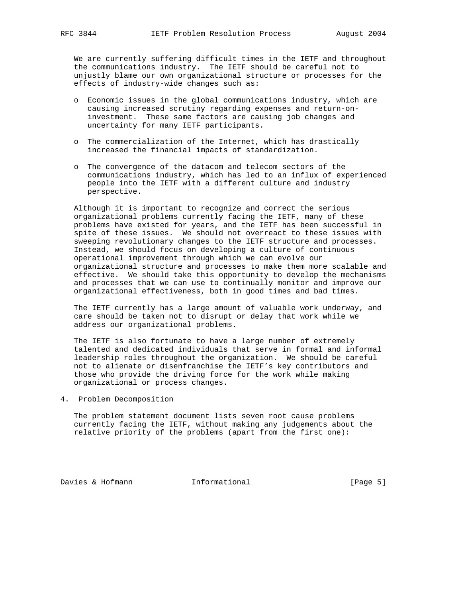We are currently suffering difficult times in the IETF and throughout the communications industry. The IETF should be careful not to unjustly blame our own organizational structure or processes for the effects of industry-wide changes such as:

- o Economic issues in the global communications industry, which are causing increased scrutiny regarding expenses and return-on investment. These same factors are causing job changes and uncertainty for many IETF participants.
- o The commercialization of the Internet, which has drastically increased the financial impacts of standardization.
- o The convergence of the datacom and telecom sectors of the communications industry, which has led to an influx of experienced people into the IETF with a different culture and industry perspective.

 Although it is important to recognize and correct the serious organizational problems currently facing the IETF, many of these problems have existed for years, and the IETF has been successful in spite of these issues. We should not overreact to these issues with sweeping revolutionary changes to the IETF structure and processes. Instead, we should focus on developing a culture of continuous operational improvement through which we can evolve our organizational structure and processes to make them more scalable and effective. We should take this opportunity to develop the mechanisms and processes that we can use to continually monitor and improve our organizational effectiveness, both in good times and bad times.

 The IETF currently has a large amount of valuable work underway, and care should be taken not to disrupt or delay that work while we address our organizational problems.

 The IETF is also fortunate to have a large number of extremely talented and dedicated individuals that serve in formal and informal leadership roles throughout the organization. We should be careful not to alienate or disenfranchise the IETF's key contributors and those who provide the driving force for the work while making organizational or process changes.

4. Problem Decomposition

 The problem statement document lists seven root cause problems currently facing the IETF, without making any judgements about the relative priority of the problems (apart from the first one):

Davies & Hofmann 1nformational (Page 5)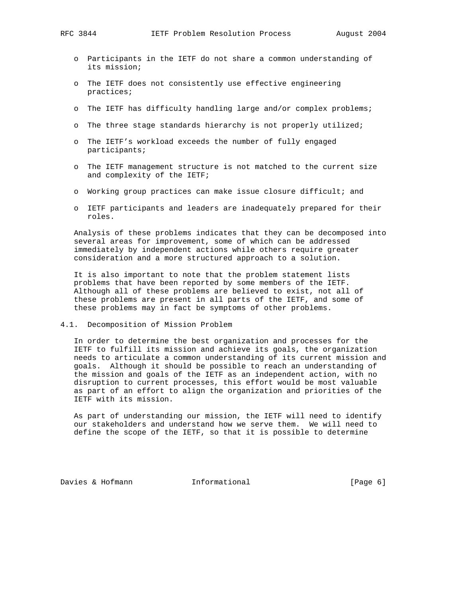- o Participants in the IETF do not share a common understanding of its mission;
- o The IETF does not consistently use effective engineering practices;
- o The IETF has difficulty handling large and/or complex problems;
- o The three stage standards hierarchy is not properly utilized;
- o The IETF's workload exceeds the number of fully engaged participants;
- o The IETF management structure is not matched to the current size and complexity of the IETF;
- o Working group practices can make issue closure difficult; and
- o IETF participants and leaders are inadequately prepared for their roles.

 Analysis of these problems indicates that they can be decomposed into several areas for improvement, some of which can be addressed immediately by independent actions while others require greater consideration and a more structured approach to a solution.

 It is also important to note that the problem statement lists problems that have been reported by some members of the IETF. Although all of these problems are believed to exist, not all of these problems are present in all parts of the IETF, and some of these problems may in fact be symptoms of other problems.

4.1. Decomposition of Mission Problem

 In order to determine the best organization and processes for the IETF to fulfill its mission and achieve its goals, the organization needs to articulate a common understanding of its current mission and goals. Although it should be possible to reach an understanding of the mission and goals of the IETF as an independent action, with no disruption to current processes, this effort would be most valuable as part of an effort to align the organization and priorities of the IETF with its mission.

 As part of understanding our mission, the IETF will need to identify our stakeholders and understand how we serve them. We will need to define the scope of the IETF, so that it is possible to determine

Davies & Hofmann 1nformational (Page 6)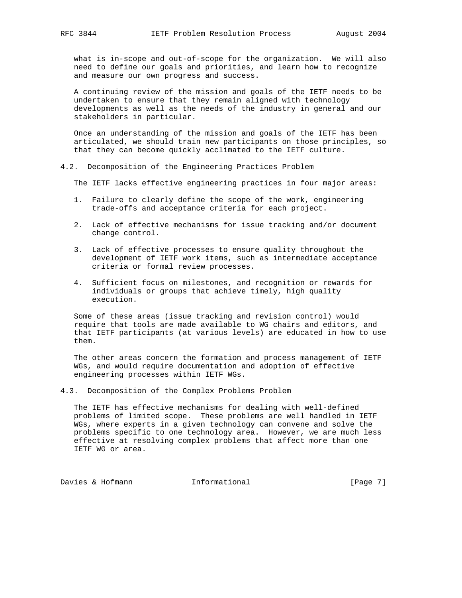what is in-scope and out-of-scope for the organization. We will also need to define our goals and priorities, and learn how to recognize and measure our own progress and success.

 A continuing review of the mission and goals of the IETF needs to be undertaken to ensure that they remain aligned with technology developments as well as the needs of the industry in general and our stakeholders in particular.

 Once an understanding of the mission and goals of the IETF has been articulated, we should train new participants on those principles, so that they can become quickly acclimated to the IETF culture.

4.2. Decomposition of the Engineering Practices Problem

The IETF lacks effective engineering practices in four major areas:

- 1. Failure to clearly define the scope of the work, engineering trade-offs and acceptance criteria for each project.
- 2. Lack of effective mechanisms for issue tracking and/or document change control.
- 3. Lack of effective processes to ensure quality throughout the development of IETF work items, such as intermediate acceptance criteria or formal review processes.
- 4. Sufficient focus on milestones, and recognition or rewards for individuals or groups that achieve timely, high quality execution.

 Some of these areas (issue tracking and revision control) would require that tools are made available to WG chairs and editors, and that IETF participants (at various levels) are educated in how to use them.

 The other areas concern the formation and process management of IETF WGs, and would require documentation and adoption of effective engineering processes within IETF WGs.

4.3. Decomposition of the Complex Problems Problem

 The IETF has effective mechanisms for dealing with well-defined problems of limited scope. These problems are well handled in IETF WGs, where experts in a given technology can convene and solve the problems specific to one technology area. However, we are much less effective at resolving complex problems that affect more than one IETF WG or area.

Davies & Hofmann and Informational [Page 7]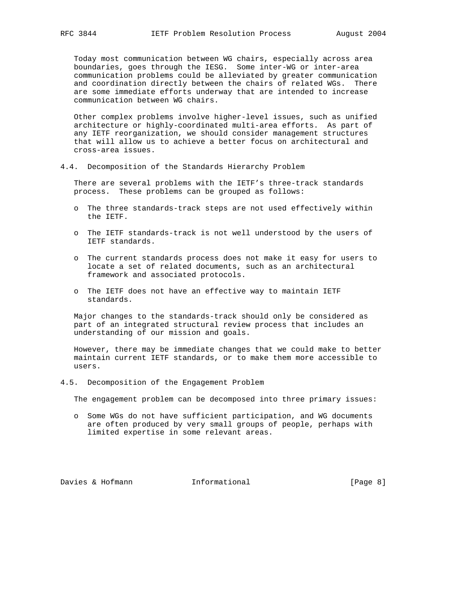Today most communication between WG chairs, especially across area boundaries, goes through the IESG. Some inter-WG or inter-area communication problems could be alleviated by greater communication and coordination directly between the chairs of related WGs. There are some immediate efforts underway that are intended to increase communication between WG chairs.

 Other complex problems involve higher-level issues, such as unified architecture or highly-coordinated multi-area efforts. As part of any IETF reorganization, we should consider management structures that will allow us to achieve a better focus on architectural and cross-area issues.

4.4. Decomposition of the Standards Hierarchy Problem

 There are several problems with the IETF's three-track standards process. These problems can be grouped as follows:

- o The three standards-track steps are not used effectively within the IETF.
- o The IETF standards-track is not well understood by the users of IETF standards.
- o The current standards process does not make it easy for users to locate a set of related documents, such as an architectural framework and associated protocols.
- o The IETF does not have an effective way to maintain IETF standards.

 Major changes to the standards-track should only be considered as part of an integrated structural review process that includes an understanding of our mission and goals.

 However, there may be immediate changes that we could make to better maintain current IETF standards, or to make them more accessible to users.

4.5. Decomposition of the Engagement Problem

The engagement problem can be decomposed into three primary issues:

 o Some WGs do not have sufficient participation, and WG documents are often produced by very small groups of people, perhaps with limited expertise in some relevant areas.

Davies & Hofmann 1nformational (Page 8)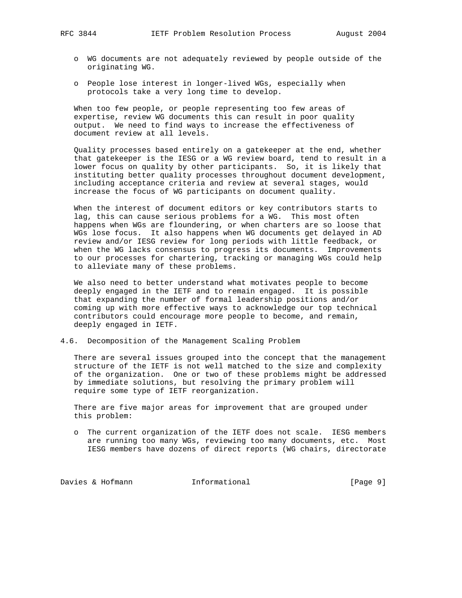- o WG documents are not adequately reviewed by people outside of the originating WG.
- o People lose interest in longer-lived WGs, especially when protocols take a very long time to develop.

 When too few people, or people representing too few areas of expertise, review WG documents this can result in poor quality output. We need to find ways to increase the effectiveness of document review at all levels.

 Quality processes based entirely on a gatekeeper at the end, whether that gatekeeper is the IESG or a WG review board, tend to result in a lower focus on quality by other participants. So, it is likely that instituting better quality processes throughout document development, including acceptance criteria and review at several stages, would increase the focus of WG participants on document quality.

 When the interest of document editors or key contributors starts to lag, this can cause serious problems for a WG. This most often happens when WGs are floundering, or when charters are so loose that WGs lose focus. It also happens when WG documents get delayed in AD review and/or IESG review for long periods with little feedback, or when the WG lacks consensus to progress its documents. Improvements to our processes for chartering, tracking or managing WGs could help to alleviate many of these problems.

 We also need to better understand what motivates people to become deeply engaged in the IETF and to remain engaged. It is possible that expanding the number of formal leadership positions and/or coming up with more effective ways to acknowledge our top technical contributors could encourage more people to become, and remain, deeply engaged in IETF.

4.6. Decomposition of the Management Scaling Problem

 There are several issues grouped into the concept that the management structure of the IETF is not well matched to the size and complexity of the organization. One or two of these problems might be addressed by immediate solutions, but resolving the primary problem will require some type of IETF reorganization.

 There are five major areas for improvement that are grouped under this problem:

 o The current organization of the IETF does not scale. IESG members are running too many WGs, reviewing too many documents, etc. Most IESG members have dozens of direct reports (WG chairs, directorate

Davies & Hofmann 1nformational 1000 [Page 9]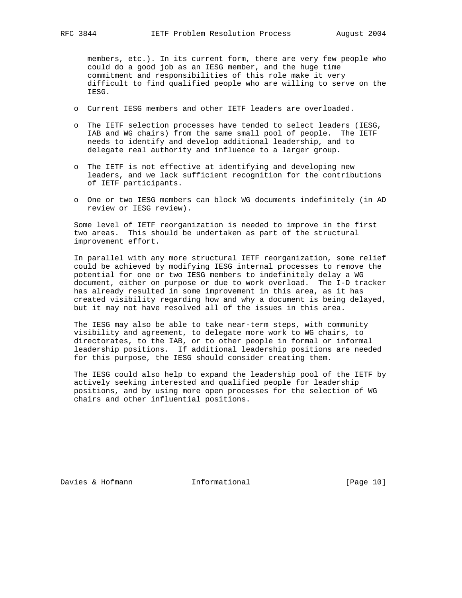members, etc.). In its current form, there are very few people who could do a good job as an IESG member, and the huge time commitment and responsibilities of this role make it very difficult to find qualified people who are willing to serve on the IESG.

- o Current IESG members and other IETF leaders are overloaded.
- o The IETF selection processes have tended to select leaders (IESG, IAB and WG chairs) from the same small pool of people. The IETF needs to identify and develop additional leadership, and to delegate real authority and influence to a larger group.
- o The IETF is not effective at identifying and developing new leaders, and we lack sufficient recognition for the contributions of IETF participants.
- o One or two IESG members can block WG documents indefinitely (in AD review or IESG review).

 Some level of IETF reorganization is needed to improve in the first two areas. This should be undertaken as part of the structural improvement effort.

 In parallel with any more structural IETF reorganization, some relief could be achieved by modifying IESG internal processes to remove the potential for one or two IESG members to indefinitely delay a WG document, either on purpose or due to work overload. The I-D tracker has already resulted in some improvement in this area, as it has created visibility regarding how and why a document is being delayed, but it may not have resolved all of the issues in this area.

 The IESG may also be able to take near-term steps, with community visibility and agreement, to delegate more work to WG chairs, to directorates, to the IAB, or to other people in formal or informal leadership positions. If additional leadership positions are needed for this purpose, the IESG should consider creating them.

 The IESG could also help to expand the leadership pool of the IETF by actively seeking interested and qualified people for leadership positions, and by using more open processes for the selection of WG chairs and other influential positions.

Davies & Hofmann 1nformational [Page 10]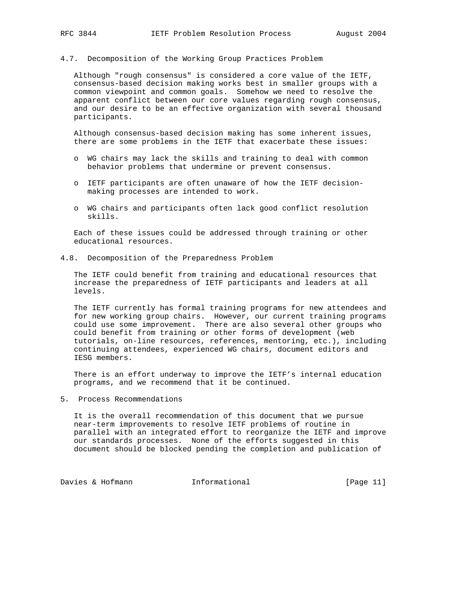4.7. Decomposition of the Working Group Practices Problem

 Although "rough consensus" is considered a core value of the IETF, consensus-based decision making works best in smaller groups with a common viewpoint and common goals. Somehow we need to resolve the apparent conflict between our core values regarding rough consensus, and our desire to be an effective organization with several thousand participants.

 Although consensus-based decision making has some inherent issues, there are some problems in the IETF that exacerbate these issues:

- o WG chairs may lack the skills and training to deal with common behavior problems that undermine or prevent consensus.
- o IETF participants are often unaware of how the IETF decision making processes are intended to work.
- o WG chairs and participants often lack good conflict resolution skills.

 Each of these issues could be addressed through training or other educational resources.

4.8. Decomposition of the Preparedness Problem

 The IETF could benefit from training and educational resources that increase the preparedness of IETF participants and leaders at all levels.

 The IETF currently has formal training programs for new attendees and for new working group chairs. However, our current training programs could use some improvement. There are also several other groups who could benefit from training or other forms of development (web tutorials, on-line resources, references, mentoring, etc.), including continuing attendees, experienced WG chairs, document editors and IESG members.

 There is an effort underway to improve the IETF's internal education programs, and we recommend that it be continued.

5. Process Recommendations

 It is the overall recommendation of this document that we pursue near-term improvements to resolve IETF problems of routine in parallel with an integrated effort to reorganize the IETF and improve our standards processes. None of the efforts suggested in this document should be blocked pending the completion and publication of

Davies & Hofmann 1nformational [Page 11]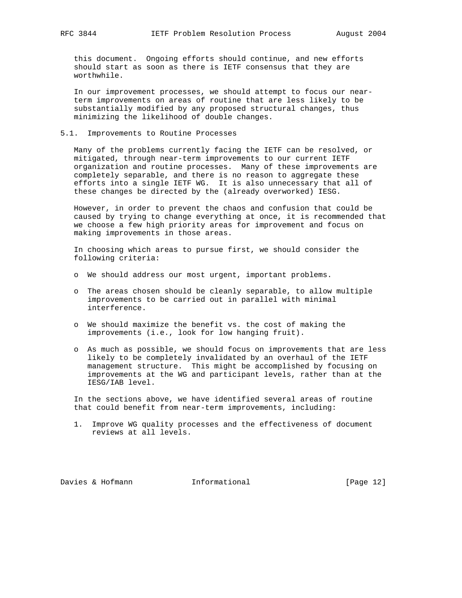this document. Ongoing efforts should continue, and new efforts should start as soon as there is IETF consensus that they are worthwhile.

 In our improvement processes, we should attempt to focus our near term improvements on areas of routine that are less likely to be substantially modified by any proposed structural changes, thus minimizing the likelihood of double changes.

# 5.1. Improvements to Routine Processes

 Many of the problems currently facing the IETF can be resolved, or mitigated, through near-term improvements to our current IETF organization and routine processes. Many of these improvements are completely separable, and there is no reason to aggregate these efforts into a single IETF WG. It is also unnecessary that all of these changes be directed by the (already overworked) IESG.

 However, in order to prevent the chaos and confusion that could be caused by trying to change everything at once, it is recommended that we choose a few high priority areas for improvement and focus on making improvements in those areas.

 In choosing which areas to pursue first, we should consider the following criteria:

- o We should address our most urgent, important problems.
- o The areas chosen should be cleanly separable, to allow multiple improvements to be carried out in parallel with minimal interference.
- o We should maximize the benefit vs. the cost of making the improvements (i.e., look for low hanging fruit).
- o As much as possible, we should focus on improvements that are less likely to be completely invalidated by an overhaul of the IETF management structure. This might be accomplished by focusing on improvements at the WG and participant levels, rather than at the IESG/IAB level.

 In the sections above, we have identified several areas of routine that could benefit from near-term improvements, including:

 1. Improve WG quality processes and the effectiveness of document reviews at all levels.

Davies & Hofmann 1nformational [Page 12]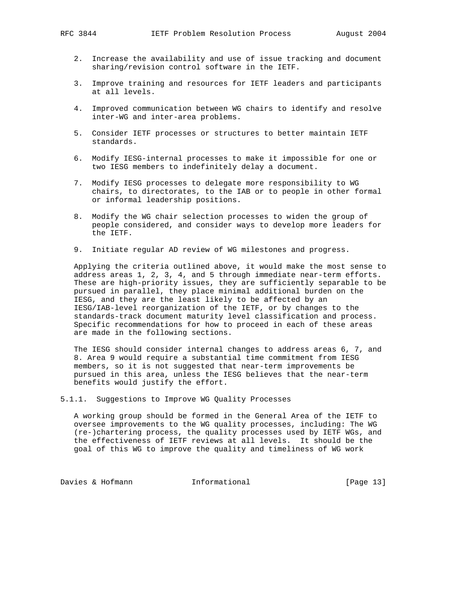- 2. Increase the availability and use of issue tracking and document sharing/revision control software in the IETF.
- 3. Improve training and resources for IETF leaders and participants at all levels.
- 4. Improved communication between WG chairs to identify and resolve inter-WG and inter-area problems.
- 5. Consider IETF processes or structures to better maintain IETF standards.
- 6. Modify IESG-internal processes to make it impossible for one or two IESG members to indefinitely delay a document.
- 7. Modify IESG processes to delegate more responsibility to WG chairs, to directorates, to the IAB or to people in other formal or informal leadership positions.
- 8. Modify the WG chair selection processes to widen the group of people considered, and consider ways to develop more leaders for the IETF.
- 9. Initiate regular AD review of WG milestones and progress.

 Applying the criteria outlined above, it would make the most sense to address areas 1, 2, 3, 4, and 5 through immediate near-term efforts. These are high-priority issues, they are sufficiently separable to be pursued in parallel, they place minimal additional burden on the IESG, and they are the least likely to be affected by an IESG/IAB-level reorganization of the IETF, or by changes to the standards-track document maturity level classification and process. Specific recommendations for how to proceed in each of these areas are made in the following sections.

 The IESG should consider internal changes to address areas 6, 7, and 8. Area 9 would require a substantial time commitment from IESG members, so it is not suggested that near-term improvements be pursued in this area, unless the IESG believes that the near-term benefits would justify the effort.

5.1.1. Suggestions to Improve WG Quality Processes

 A working group should be formed in the General Area of the IETF to oversee improvements to the WG quality processes, including: The WG (re-)chartering process, the quality processes used by IETF WGs, and the effectiveness of IETF reviews at all levels. It should be the goal of this WG to improve the quality and timeliness of WG work

Davies & Hofmann 1nformational [Page 13]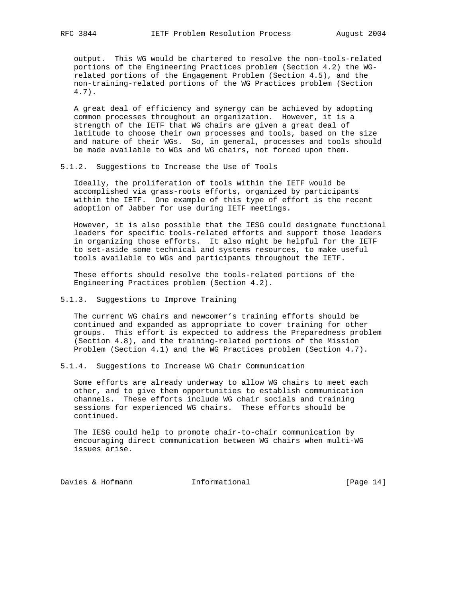output. This WG would be chartered to resolve the non-tools-related portions of the Engineering Practices problem (Section 4.2) the WG related portions of the Engagement Problem (Section 4.5), and the non-training-related portions of the WG Practices problem (Section 4.7).

 A great deal of efficiency and synergy can be achieved by adopting common processes throughout an organization. However, it is a strength of the IETF that WG chairs are given a great deal of latitude to choose their own processes and tools, based on the size and nature of their WGs. So, in general, processes and tools should be made available to WGs and WG chairs, not forced upon them.

### 5.1.2. Suggestions to Increase the Use of Tools

 Ideally, the proliferation of tools within the IETF would be accomplished via grass-roots efforts, organized by participants within the IETF. One example of this type of effort is the recent adoption of Jabber for use during IETF meetings.

 However, it is also possible that the IESG could designate functional leaders for specific tools-related efforts and support those leaders in organizing those efforts. It also might be helpful for the IETF to set-aside some technical and systems resources, to make useful tools available to WGs and participants throughout the IETF.

 These efforts should resolve the tools-related portions of the Engineering Practices problem (Section 4.2).

# 5.1.3. Suggestions to Improve Training

 The current WG chairs and newcomer's training efforts should be continued and expanded as appropriate to cover training for other groups. This effort is expected to address the Preparedness problem (Section 4.8), and the training-related portions of the Mission Problem (Section 4.1) and the WG Practices problem (Section 4.7).

5.1.4. Suggestions to Increase WG Chair Communication

 Some efforts are already underway to allow WG chairs to meet each other, and to give them opportunities to establish communication channels. These efforts include WG chair socials and training sessions for experienced WG chairs. These efforts should be continued.

 The IESG could help to promote chair-to-chair communication by encouraging direct communication between WG chairs when multi-WG issues arise.

Davies & Hofmann 1nformational [Page 14]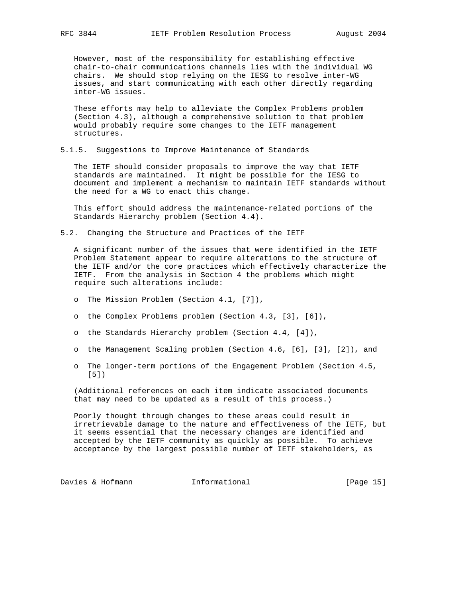However, most of the responsibility for establishing effective chair-to-chair communications channels lies with the individual WG chairs. We should stop relying on the IESG to resolve inter-WG issues, and start communicating with each other directly regarding inter-WG issues.

 These efforts may help to alleviate the Complex Problems problem (Section 4.3), although a comprehensive solution to that problem would probably require some changes to the IETF management structures.

5.1.5. Suggestions to Improve Maintenance of Standards

 The IETF should consider proposals to improve the way that IETF standards are maintained. It might be possible for the IESG to document and implement a mechanism to maintain IETF standards without the need for a WG to enact this change.

 This effort should address the maintenance-related portions of the Standards Hierarchy problem (Section 4.4).

5.2. Changing the Structure and Practices of the IETF

 A significant number of the issues that were identified in the IETF Problem Statement appear to require alterations to the structure of the IETF and/or the core practices which effectively characterize the IETF. From the analysis in Section 4 the problems which might require such alterations include:

- o The Mission Problem (Section 4.1, [7]),
- o the Complex Problems problem (Section 4.3, [3], [6]),
- o the Standards Hierarchy problem (Section 4.4, [4]),
- o the Management Scaling problem (Section 4.6, [6], [3], [2]), and
- o The longer-term portions of the Engagement Problem (Section 4.5, [5])

 (Additional references on each item indicate associated documents that may need to be updated as a result of this process.)

 Poorly thought through changes to these areas could result in irretrievable damage to the nature and effectiveness of the IETF, but it seems essential that the necessary changes are identified and accepted by the IETF community as quickly as possible. To achieve acceptance by the largest possible number of IETF stakeholders, as

Davies & Hofmann 1nformational [Page 15]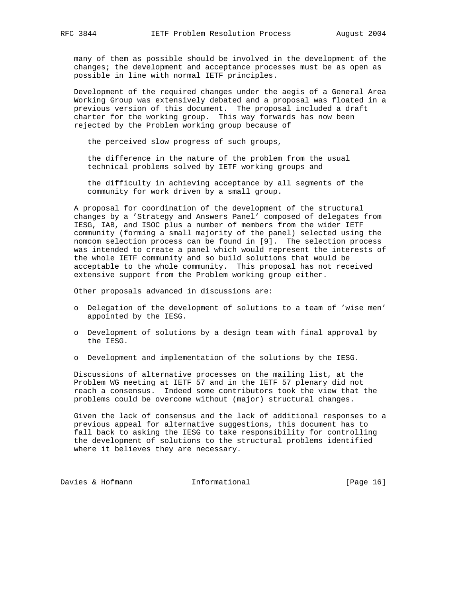many of them as possible should be involved in the development of the changes; the development and acceptance processes must be as open as possible in line with normal IETF principles.

 Development of the required changes under the aegis of a General Area Working Group was extensively debated and a proposal was floated in a previous version of this document. The proposal included a draft charter for the working group. This way forwards has now been rejected by the Problem working group because of

the perceived slow progress of such groups,

 the difference in the nature of the problem from the usual technical problems solved by IETF working groups and

 the difficulty in achieving acceptance by all segments of the community for work driven by a small group.

 A proposal for coordination of the development of the structural changes by a 'Strategy and Answers Panel' composed of delegates from IESG, IAB, and ISOC plus a number of members from the wider IETF community (forming a small majority of the panel) selected using the nomcom selection process can be found in [9]. The selection process was intended to create a panel which would represent the interests of the whole IETF community and so build solutions that would be acceptable to the whole community. This proposal has not received extensive support from the Problem working group either.

Other proposals advanced in discussions are:

- o Delegation of the development of solutions to a team of 'wise men' appointed by the IESG.
- o Development of solutions by a design team with final approval by the IESG.
- o Development and implementation of the solutions by the IESG.

 Discussions of alternative processes on the mailing list, at the Problem WG meeting at IETF 57 and in the IETF 57 plenary did not reach a consensus. Indeed some contributors took the view that the problems could be overcome without (major) structural changes.

 Given the lack of consensus and the lack of additional responses to a previous appeal for alternative suggestions, this document has to fall back to asking the IESG to take responsibility for controlling the development of solutions to the structural problems identified where it believes they are necessary.

Davies & Hofmann 1nformational [Page 16]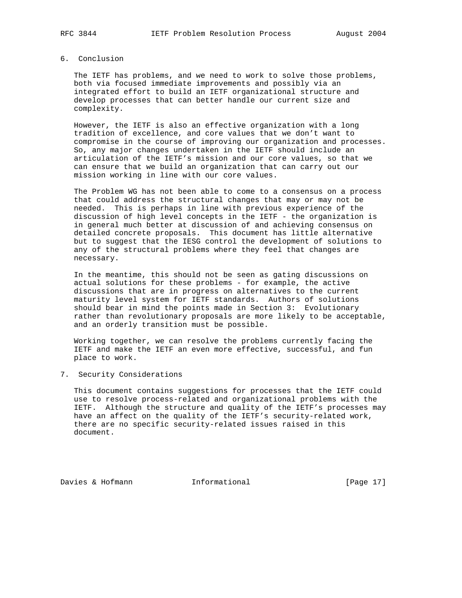# 6. Conclusion

 The IETF has problems, and we need to work to solve those problems, both via focused immediate improvements and possibly via an integrated effort to build an IETF organizational structure and develop processes that can better handle our current size and complexity.

 However, the IETF is also an effective organization with a long tradition of excellence, and core values that we don't want to compromise in the course of improving our organization and processes. So, any major changes undertaken in the IETF should include an articulation of the IETF's mission and our core values, so that we can ensure that we build an organization that can carry out our mission working in line with our core values.

 The Problem WG has not been able to come to a consensus on a process that could address the structural changes that may or may not be needed. This is perhaps in line with previous experience of the discussion of high level concepts in the IETF - the organization is in general much better at discussion of and achieving consensus on detailed concrete proposals. This document has little alternative but to suggest that the IESG control the development of solutions to any of the structural problems where they feel that changes are necessary.

 In the meantime, this should not be seen as gating discussions on actual solutions for these problems - for example, the active discussions that are in progress on alternatives to the current maturity level system for IETF standards. Authors of solutions should bear in mind the points made in Section 3: Evolutionary rather than revolutionary proposals are more likely to be acceptable, and an orderly transition must be possible.

 Working together, we can resolve the problems currently facing the IETF and make the IETF an even more effective, successful, and fun place to work.

7. Security Considerations

 This document contains suggestions for processes that the IETF could use to resolve process-related and organizational problems with the IETF. Although the structure and quality of the IETF's processes may have an affect on the quality of the IETF's security-related work, there are no specific security-related issues raised in this document.

Davies & Hofmann 1nformational [Page 17]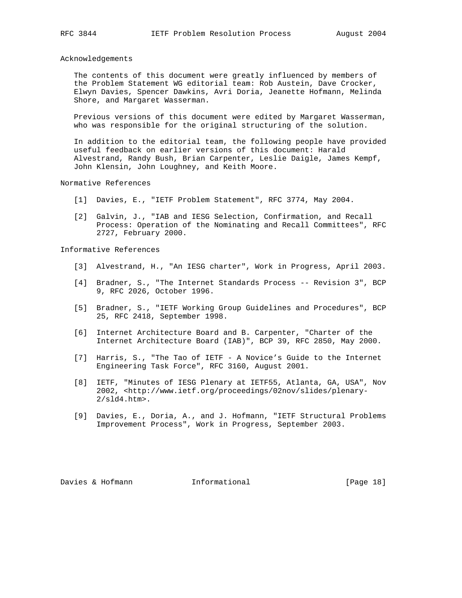Acknowledgements

 The contents of this document were greatly influenced by members of the Problem Statement WG editorial team: Rob Austein, Dave Crocker, Elwyn Davies, Spencer Dawkins, Avri Doria, Jeanette Hofmann, Melinda Shore, and Margaret Wasserman.

 Previous versions of this document were edited by Margaret Wasserman, who was responsible for the original structuring of the solution.

 In addition to the editorial team, the following people have provided useful feedback on earlier versions of this document: Harald Alvestrand, Randy Bush, Brian Carpenter, Leslie Daigle, James Kempf, John Klensin, John Loughney, and Keith Moore.

Normative References

- [1] Davies, E., "IETF Problem Statement", RFC 3774, May 2004.
- [2] Galvin, J., "IAB and IESG Selection, Confirmation, and Recall Process: Operation of the Nominating and Recall Committees", RFC 2727, February 2000.

Informative References

- [3] Alvestrand, H., "An IESG charter", Work in Progress, April 2003.
- [4] Bradner, S., "The Internet Standards Process -- Revision 3", BCP 9, RFC 2026, October 1996.
- [5] Bradner, S., "IETF Working Group Guidelines and Procedures", BCP 25, RFC 2418, September 1998.
- [6] Internet Architecture Board and B. Carpenter, "Charter of the Internet Architecture Board (IAB)", BCP 39, RFC 2850, May 2000.
- [7] Harris, S., "The Tao of IETF A Novice's Guide to the Internet Engineering Task Force", RFC 3160, August 2001.
- [8] IETF, "Minutes of IESG Plenary at IETF55, Atlanta, GA, USA", Nov 2002, <http://www.ietf.org/proceedings/02nov/slides/plenary- 2/sld4.htm>.
- [9] Davies, E., Doria, A., and J. Hofmann, "IETF Structural Problems Improvement Process", Work in Progress, September 2003.

Davies & Hofmann 1nformational [Page 18]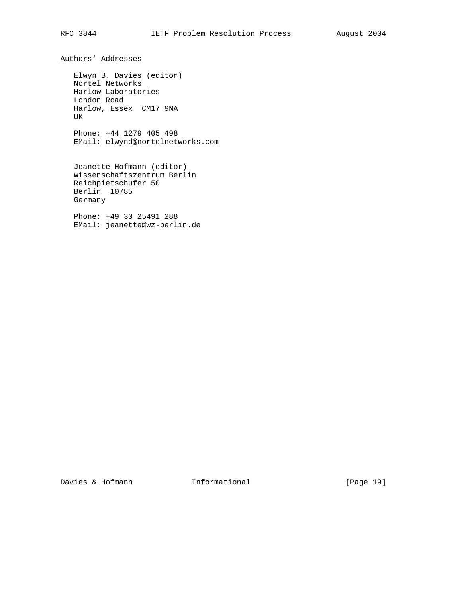Authors' Addresses

 Elwyn B. Davies (editor) Nortel Networks Harlow Laboratories London Road Harlow, Essex CM17 9NA UK

 Phone: +44 1279 405 498 EMail: elwynd@nortelnetworks.com

 Jeanette Hofmann (editor) Wissenschaftszentrum Berlin Reichpietschufer 50 Berlin 10785 Germany

 Phone: +49 30 25491 288 EMail: jeanette@wz-berlin.de

Davies & Hofmann 1nformational [Page 19]